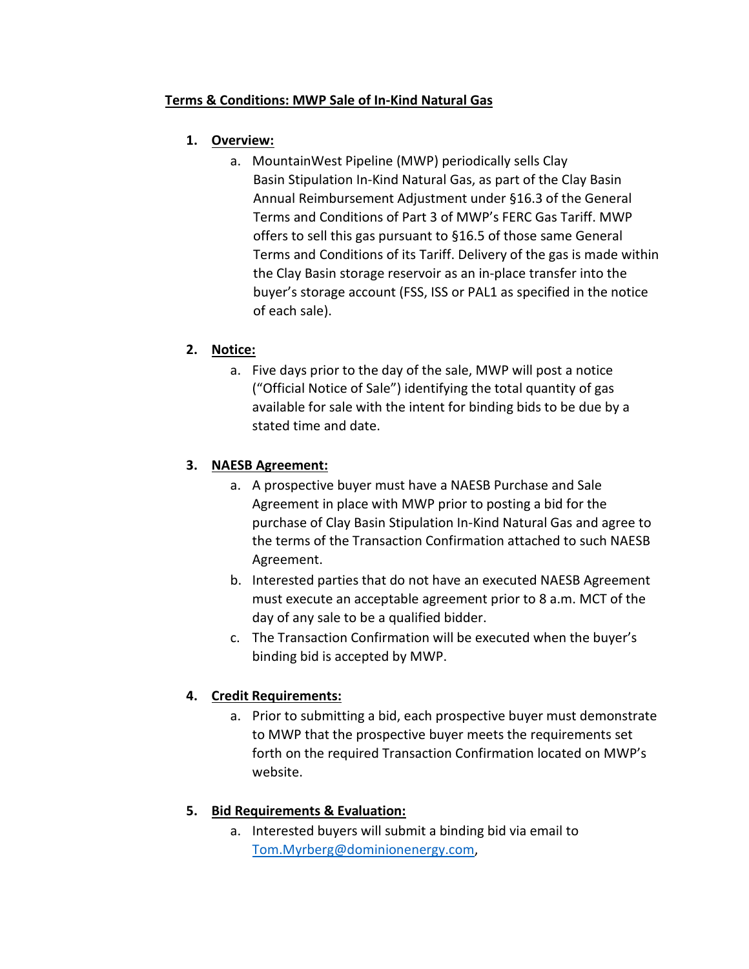## **Terms & Conditions: MWP Sale of In-Kind Natural Gas**

## **1. Overview:**

a. MountainWest Pipeline (MWP) periodically sells Clay Basin Stipulation In-Kind Natural Gas, as part of the Clay Basin Annual Reimbursement Adjustment under §16.3 of the General Terms and Conditions of Part 3 of MWP's FERC Gas Tariff. MWP offers to sell this gas pursuant to §16.5 of those same General Terms and Conditions of its Tariff. Delivery of the gas is made within the Clay Basin storage reservoir as an in-place transfer into the buyer's storage account (FSS, ISS or PAL1 as specified in the notice of each sale).

## **2. Notice:**

a. Five days prior to the day of the sale, MWP will post a notice ("Official Notice of Sale") identifying the total quantity of gas available for sale with the intent for binding bids to be due by a stated time and date.

### **3. NAESB Agreement:**

- a. A prospective buyer must have a NAESB Purchase and Sale Agreement in place with MWP prior to posting a bid for the purchase of Clay Basin Stipulation In-Kind Natural Gas and agree to the terms of the Transaction Confirmation attached to such NAESB Agreement.
- b. Interested parties that do not have an executed NAESB Agreement must execute an acceptable agreement prior to 8 a.m. MCT of the day of any sale to be a qualified bidder.
- c. The Transaction Confirmation will be executed when the buyer's binding bid is accepted by MWP.

# **4. Credit Requirements:**

a. Prior to submitting a bid, each prospective buyer must demonstrate to MWP that the prospective buyer meets the requirements set forth on the required Transaction Confirmation located on MWP's website.

# **5. Bid Requirements & Evaluation:**

a. Interested buyers will submit a binding bid via email to [Tom.Myrberg@dominionenergy.com,](mailto:Tom.Myrberg@dominionenergy.com)